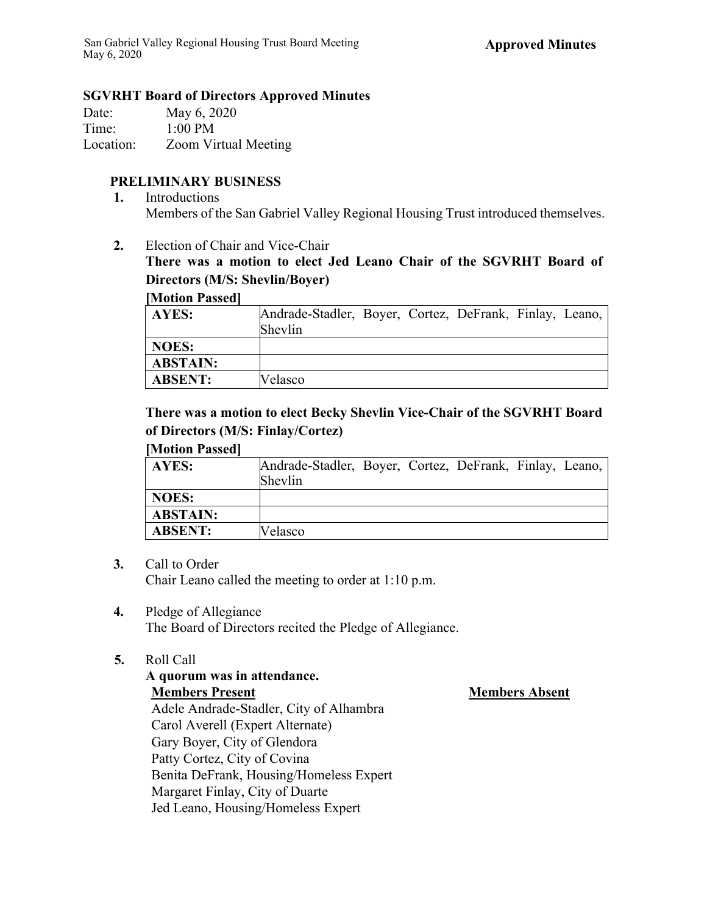### **SGVRHT Board of Directors Approved Minutes**

| Date:     | May 6, 2020                 |
|-----------|-----------------------------|
| Time:     | $1:00$ PM                   |
| Location: | <b>Zoom Virtual Meeting</b> |

# **PRELIMINARY BUSINESS**

- **1.** Introductions Members of the San Gabriel Valley Regional Housing Trust introduced themselves.
- **2.** Election of Chair and Vice-Chair

**There was a motion to elect Jed Leano Chair of the SGVRHT Board of Directors (M/S: Shevlin/Boyer)**

### **[Motion Passed]**

| AYES:           | Andrade-Stadler, Boyer, Cortez, DeFrank, Finlay, Leano,<br>Shevlin |  |  |  |
|-----------------|--------------------------------------------------------------------|--|--|--|
| <b>NOES:</b>    |                                                                    |  |  |  |
| <b>ABSTAIN:</b> |                                                                    |  |  |  |
| <b>ABSENT:</b>  | Velasco                                                            |  |  |  |

# **There was a motion to elect Becky Shevlin Vice-Chair of the SGVRHT Board of Directors (M/S: Finlay/Cortez)**

### **[Motion Passed]**

| AYES:           | Andrade-Stadler, Boyer, Cortez, DeFrank, Finlay, Leano,<br>Shevlin |
|-----------------|--------------------------------------------------------------------|
| <b>NOES:</b>    |                                                                    |
| <b>ABSTAIN:</b> |                                                                    |
| <b>ABSENT:</b>  | Velasco                                                            |

### **3.** Call to Order

Chair Leano called the meeting to order at 1:10 p.m.

# **4.** Pledge of Allegiance

The Board of Directors recited the Pledge of Allegiance.

### **5.** Roll Call

**A quorum was in attendance. Members Present Members Absent** Adele Andrade-Stadler, City of Alhambra Carol Averell (Expert Alternate) Gary Boyer, City of Glendora Patty Cortez, City of Covina Benita DeFrank, Housing/Homeless Expert Margaret Finlay, City of Duarte Jed Leano, Housing/Homeless Expert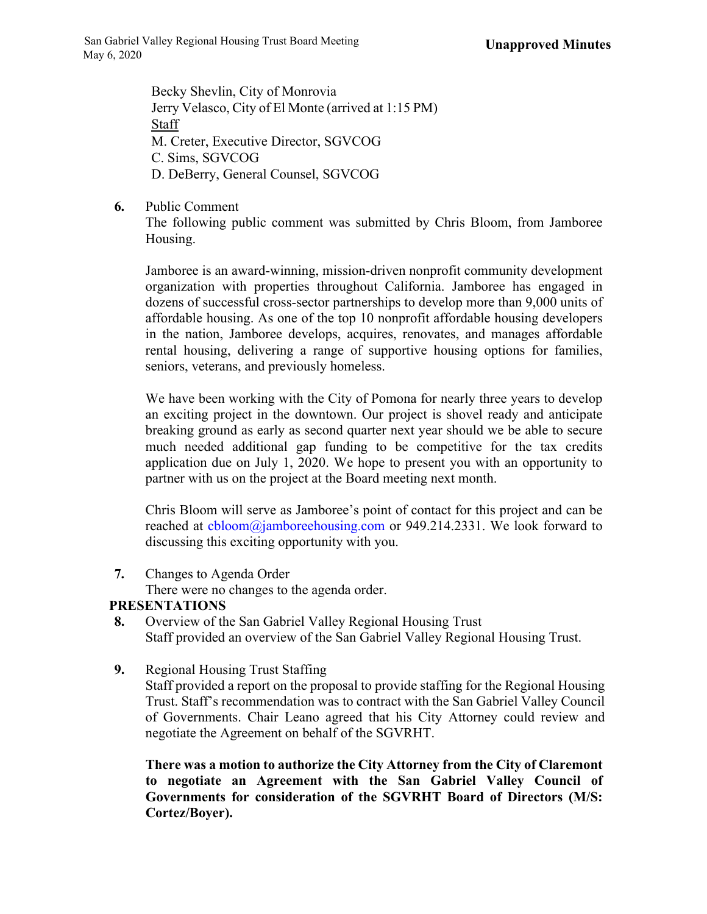Becky Shevlin, City of Monrovia Jerry Velasco, City of El Monte (arrived at 1:15 PM) Staff M. Creter, Executive Director, SGVCOG C. Sims, SGVCOG D. DeBerry, General Counsel, SGVCOG

**6.** Public Comment

The following public comment was submitted by Chris Bloom, from Jamboree Housing.

Jamboree is an award-winning, mission-driven nonprofit community development organization with properties throughout California. Jamboree has engaged in dozens of successful cross-sector partnerships to develop more than 9,000 units of affordable housing. As one of the top 10 nonprofit affordable housing developers in the nation, Jamboree develops, acquires, renovates, and manages affordable rental housing, delivering a range of supportive housing options for families, seniors, veterans, and previously homeless.

We have been working with the City of Pomona for nearly three years to develop an exciting project in the downtown. Our project is shovel ready and anticipate breaking ground as early as second quarter next year should we be able to secure much needed additional gap funding to be competitive for the tax credits application due on July 1, 2020. We hope to present you with an opportunity to partner with us on the project at the Board meeting next month.

Chris Bloom will serve as Jamboree's point of contact for this project and can be reached at cbloom@jamboreehousing.com or 949.214.2331. We look forward to discussing this exciting opportunity with you.

**7.** Changes to Agenda Order

There were no changes to the agenda order.

# **PRESENTATIONS**

- **8.** Overview of the San Gabriel Valley Regional Housing Trust Staff provided an overview of the San Gabriel Valley Regional Housing Trust.
- **9.** Regional Housing Trust Staffing

Staff provided a report on the proposal to provide staffing for the Regional Housing Trust. Staff's recommendation was to contract with the San Gabriel Valley Council of Governments. Chair Leano agreed that his City Attorney could review and negotiate the Agreement on behalf of the SGVRHT.

**There was a motion to authorize the City Attorney from the City of Claremont to negotiate an Agreement with the San Gabriel Valley Council of Governments for consideration of the SGVRHT Board of Directors (M/S: Cortez/Boyer).**